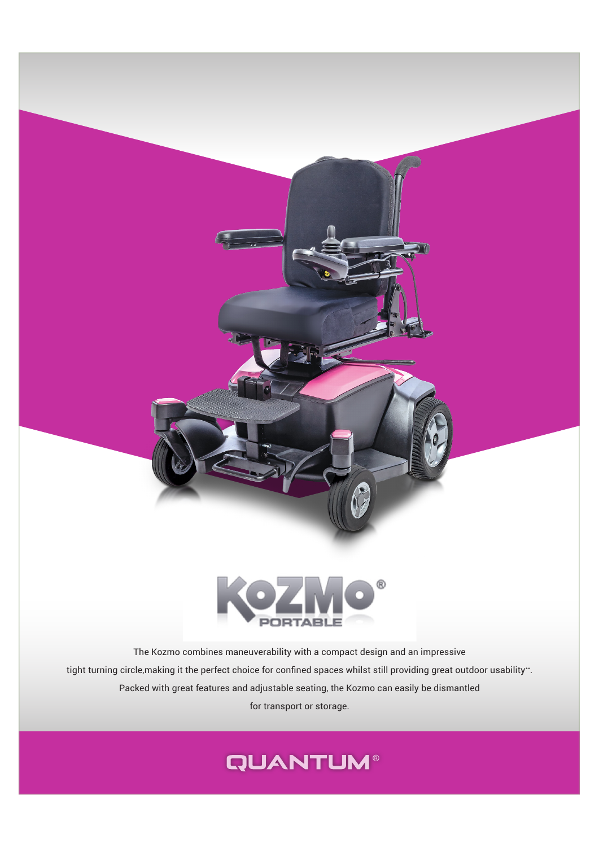

The Kozmo combines maneuverability with a compact design and an impressive tight turning circle,making it the perfect choice for confined spaces whilst still providing great outdoor usability\*\*. Packed with great features and adjustable seating, the Kozmo can easily be dismantled for transport or storage.

## **QUANTUM®**